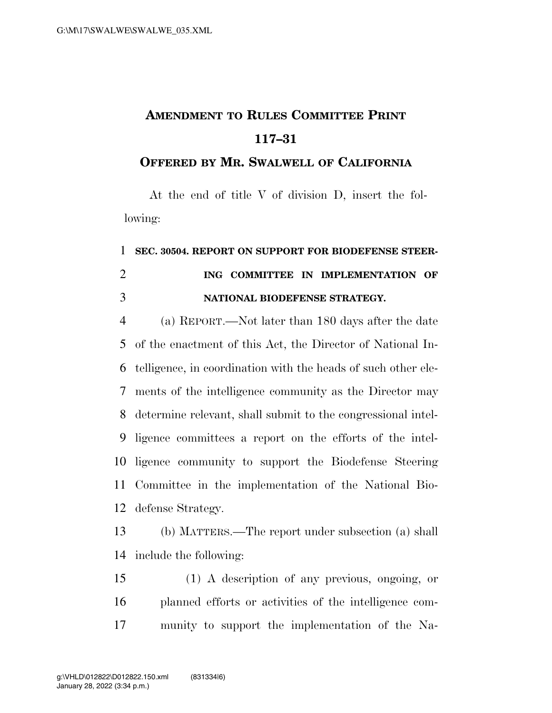## **AMENDMENT TO RULES COMMITTEE PRINT 117–31**

## **OFFERED BY MR. SWALWELL OF CALIFORNIA**

At the end of title V of division D, insert the following:

## **SEC. 30504. REPORT ON SUPPORT FOR BIODEFENSE STEER- ING COMMITTEE IN IMPLEMENTATION OF NATIONAL BIODEFENSE STRATEGY.**

 (a) REPORT.—Not later than 180 days after the date of the enactment of this Act, the Director of National In- telligence, in coordination with the heads of such other ele- ments of the intelligence community as the Director may determine relevant, shall submit to the congressional intel- ligence committees a report on the efforts of the intel- ligence community to support the Biodefense Steering Committee in the implementation of the National Bio-defense Strategy.

 (b) MATTERS.—The report under subsection (a) shall include the following:

 (1) A description of any previous, ongoing, or planned efforts or activities of the intelligence com-munity to support the implementation of the Na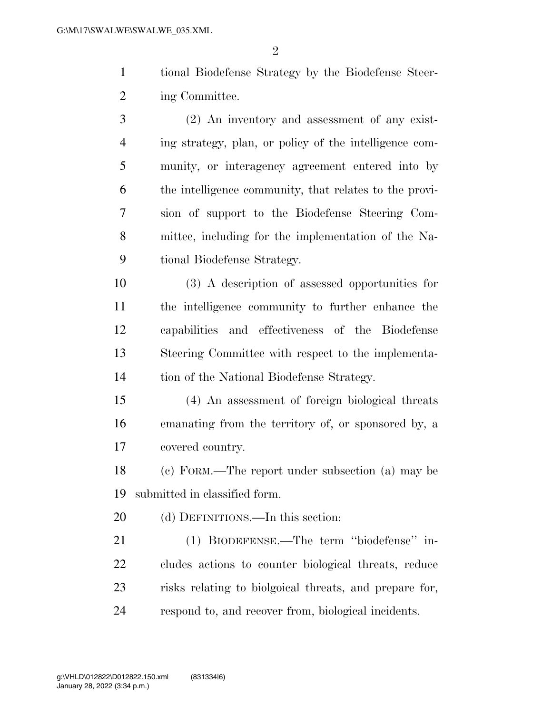tional Biodefense Strategy by the Biodefense Steer-2 ing Committee.

 (2) An inventory and assessment of any exist- ing strategy, plan, or policy of the intelligence com- munity, or interagency agreement entered into by the intelligence community, that relates to the provi- sion of support to the Biodefense Steering Com- mittee, including for the implementation of the Na-tional Biodefense Strategy.

 (3) A description of assessed opportunities for the intelligence community to further enhance the capabilities and effectiveness of the Biodefense Steering Committee with respect to the implementa-tion of the National Biodefense Strategy.

 (4) An assessment of foreign biological threats emanating from the territory of, or sponsored by, a covered country.

 (c) FORM.—The report under subsection (a) may be submitted in classified form.

20 (d) DEFINITIONS.—In this section:

 (1) BIODEFENSE.—The term ''biodefense'' in- cludes actions to counter biological threats, reduce risks relating to biolgoical threats, and prepare for, respond to, and recover from, biological incidents.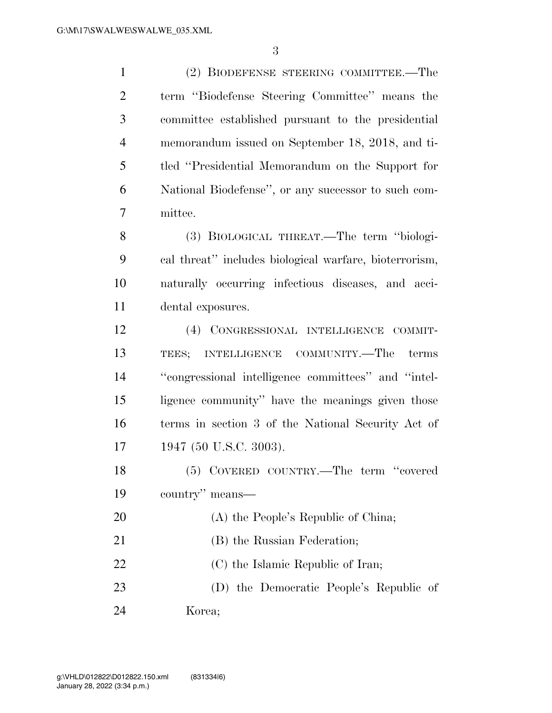(2) BIODEFENSE STEERING COMMITTEE.—The term ''Biodefense Steering Committee'' means the committee established pursuant to the presidential memorandum issued on September 18, 2018, and ti- tled ''Presidential Memorandum on the Support for National Biodefense'', or any successor to such com- mittee. (3) BIOLOGICAL THREAT.—The term ''biologi- cal threat'' includes biological warfare, bioterrorism, naturally occurring infectious diseases, and acci- dental exposures. (4) CONGRESSIONAL INTELLIGENCE COMMIT-

 TEES; INTELLIGENCE COMMUNITY.—The terms ''congressional intelligence committees'' and ''intel- ligence community'' have the meanings given those terms in section 3 of the National Security Act of 17 1947 (50 U.S.C. 3003).

 (5) COVERED COUNTRY.—The term ''covered country'' means—

- 20 (A) the People's Republic of China;
- 21 (B) the Russian Federation;
- 22 (C) the Islamic Republic of Iran;

 (D) the Democratic People's Republic of Korea;